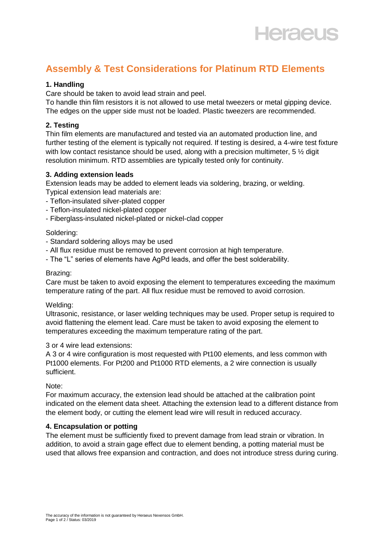# **Heraeus**

# **Assembly & Test Considerations for Platinum RTD Elements**

#### **1. Handling**

Care should be taken to avoid lead strain and peel.

To handle thin film resistors it is not allowed to use metal tweezers or metal gipping device. The edges on the upper side must not be loaded. Plastic tweezers are recommended.

## **2. Testing**

Thin film elements are manufactured and tested via an automated production line, and further testing of the element is typically not required. If testing is desired, a 4-wire test fixture with low contact resistance should be used, along with a precision multimeter,  $5\frac{1}{2}$  digit resolution minimum. RTD assemblies are typically tested only for continuity.

### **3. Adding extension leads**

Extension leads may be added to element leads via soldering, brazing, or welding.

- Typical extension lead materials are:
- Teflon-insulated silver-plated copper
- Teflon-insulated nickel-plated copper
- Fiberglass-insulated nickel-plated or nickel-clad copper

#### Soldering:

- Standard soldering alloys may be used
- All flux residue must be removed to prevent corrosion at high temperature.
- The "L" series of elements have AgPd leads, and offer the best solderability.

#### Brazing:

Care must be taken to avoid exposing the element to temperatures exceeding the maximum temperature rating of the part. All flux residue must be removed to avoid corrosion.

#### Welding:

Ultrasonic, resistance, or laser welding techniques may be used. Proper setup is required to avoid flattening the element lead. Care must be taken to avoid exposing the element to temperatures exceeding the maximum temperature rating of the part.

#### 3 or 4 wire lead extensions:

A 3 or 4 wire configuration is most requested with Pt100 elements, and less common with Pt1000 elements. For Pt200 and Pt1000 RTD elements, a 2 wire connection is usually sufficient.

#### Note:

For maximum accuracy, the extension lead should be attached at the calibration point indicated on the element data sheet. Attaching the extension lead to a different distance from the element body, or cutting the element lead wire will result in reduced accuracy.

#### **4. Encapsulation or potting**

The element must be sufficiently fixed to prevent damage from lead strain or vibration. In addition, to avoid a strain gage effect due to element bending, a potting material must be used that allows free expansion and contraction, and does not introduce stress during curing.